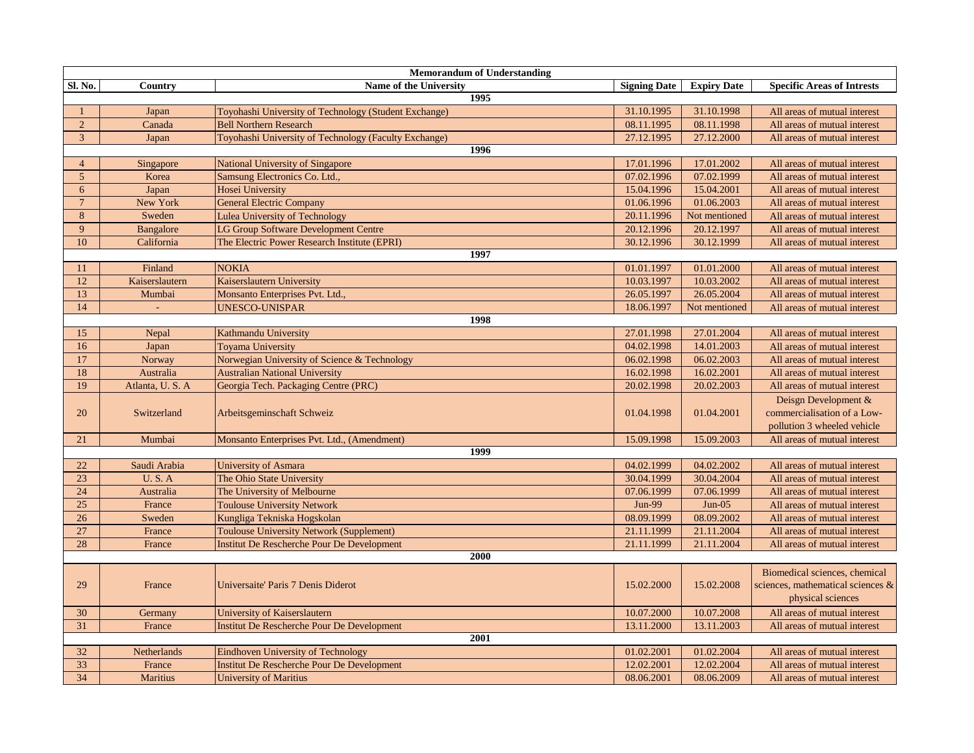| <b>Memorandum of Understanding</b> |                  |                                                       |                     |                    |                                                                                         |  |
|------------------------------------|------------------|-------------------------------------------------------|---------------------|--------------------|-----------------------------------------------------------------------------------------|--|
| Sl. No.                            | Country          | Name of the University                                | <b>Signing Date</b> | <b>Expiry Date</b> | <b>Specific Areas of Intrests</b>                                                       |  |
|                                    |                  | 1995                                                  |                     |                    |                                                                                         |  |
|                                    | Japan            | Toyohashi University of Technology (Student Exchange) | 31.10.1995          | 31.10.1998         | All areas of mutual interest                                                            |  |
| $\overline{2}$                     | Canada           | <b>Bell Northern Research</b>                         | 08.11.1995          | 08.11.1998         | All areas of mutual interest                                                            |  |
| 3                                  | Japan            | Toyohashi University of Technology (Faculty Exchange) | 27.12.1995          | 27.12.2000         | All areas of mutual interest                                                            |  |
|                                    |                  | 1996                                                  |                     |                    |                                                                                         |  |
| $\overline{4}$                     | Singapore        | National University of Singapore                      | 17.01.1996          | 17.01.2002         | All areas of mutual interest                                                            |  |
| 5                                  | Korea            | Samsung Electronics Co. Ltd.,                         | 07.02.1996          | 07.02.1999         | All areas of mutual interest                                                            |  |
| 6                                  | Japan            | Hosei University                                      | 15.04.1996          | 15.04.2001         | All areas of mutual interest                                                            |  |
| $7\phantom{.0}$                    | New York         | General Electric Company                              | 01.06.1996          | 01.06.2003         | All areas of mutual interest                                                            |  |
| 8                                  | Sweden           | <b>Lulea University of Technology</b>                 | 20.11.1996          | Not mentioned      | All areas of mutual interest                                                            |  |
| 9                                  | <b>Bangalore</b> | LG Group Software Development Centre                  | 20.12.1996          | 20.12.1997         | All areas of mutual interest                                                            |  |
| 10                                 | California       | The Electric Power Research Institute (EPRI)          | 30.12.1996          | 30.12.1999         | All areas of mutual interest                                                            |  |
|                                    |                  | 1997                                                  |                     |                    |                                                                                         |  |
| 11                                 | Finland          | <b>NOKIA</b>                                          | 01.01.1997          | 01.01.2000         | All areas of mutual interest                                                            |  |
| 12                                 | Kaiserslautern   | Kaiserslautern University                             | 10.03.1997          | 10.03.2002         | All areas of mutual interest                                                            |  |
| 13                                 | Mumbai           | Monsanto Enterprises Pvt. Ltd.,                       | 26.05.1997          | 26.05.2004         | All areas of mutual interest                                                            |  |
| 14                                 | $\mathbf{r}$     | <b>UNESCO-UNISPAR</b>                                 | 18.06.1997          | Not mentioned      | All areas of mutual interest                                                            |  |
|                                    |                  | 1998                                                  |                     |                    |                                                                                         |  |
| 15                                 | Nepal            | Kathmandu University                                  | 27.01.1998          | 27.01.2004         | All areas of mutual interest                                                            |  |
| 16                                 | Japan            | <b>Toyama University</b>                              | 04.02.1998          | 14.01.2003         | All areas of mutual interest                                                            |  |
| 17                                 | Norway           | Norwegian University of Science & Technology          | 06.02.1998          | 06.02.2003         | All areas of mutual interest                                                            |  |
| 18                                 | Australia        | <b>Australian National University</b>                 | 16.02.1998          | 16.02.2001         | All areas of mutual interest                                                            |  |
| 19                                 | Atlanta, U.S.A   | Georgia Tech. Packaging Centre (PRC)                  | 20.02.1998          | 20.02.2003         | All areas of mutual interest                                                            |  |
| 20                                 | Switzerland      | Arbeitsgeminschaft Schweiz                            | 01.04.1998          | 01.04.2001         | Deisgn Development &<br>commercialisation of a Low-<br>pollution 3 wheeled vehicle      |  |
| 21                                 | Mumbai           | Monsanto Enterprises Pvt. Ltd., (Amendment)           | 15.09.1998          | 15.09.2003         | All areas of mutual interest                                                            |  |
|                                    |                  | 1999                                                  |                     |                    |                                                                                         |  |
| 22                                 | Saudi Arabia     | <b>University of Asmara</b>                           | 04.02.1999          | 04.02.2002         | All areas of mutual interest                                                            |  |
| 23                                 | U.S.A            | The Ohio State University                             | 30.04.1999          | 30.04.2004         | All areas of mutual interest                                                            |  |
| 24                                 | Australia        | The University of Melbourne                           | 07.06.1999          | 07.06.1999         | All areas of mutual interest                                                            |  |
| 25                                 | France           | <b>Toulouse University Network</b>                    | <b>Jun-99</b>       | $Jun-05$           | All areas of mutual interest                                                            |  |
| 26                                 | Sweden           | Kungliga Tekniska Hogskolan                           | 08.09.1999          | 08.09.2002         | All areas of mutual interest                                                            |  |
| 27                                 | France           | <b>Toulouse University Network (Supplement)</b>       | 21.11.1999          | 21.11.2004         | All areas of mutual interest                                                            |  |
| 28                                 | France           | <b>Institut De Rescherche Pour De Development</b>     | 21.11.1999          | 21.11.2004         | All areas of mutual interest                                                            |  |
| 2000                               |                  |                                                       |                     |                    |                                                                                         |  |
| 29                                 | France           | Universaite' Paris 7 Denis Diderot                    | 15.02.2000          | 15.02.2008         | Biomedical sciences, chemical<br>sciences, mathematical sciences &<br>physical sciences |  |
| 30                                 | Germany          | University of Kaiserslautern                          | 10.07.2000          | 10.07.2008         | All areas of mutual interest                                                            |  |
| 31                                 | France           | <b>Institut De Rescherche Pour De Development</b>     | 13.11.2000          | 13.11.2003         | All areas of mutual interest                                                            |  |
| 2001                               |                  |                                                       |                     |                    |                                                                                         |  |
| 32                                 | Netherlands      | <b>Eindhoven University of Technology</b>             | 01.02.2001          | 01.02.2004         | All areas of mutual interest                                                            |  |
| 33                                 | France           | <b>Institut De Rescherche Pour De Development</b>     | 12.02.2001          | 12.02.2004         | All areas of mutual interest                                                            |  |
| 34                                 | <b>Maritius</b>  | <b>University of Maritius</b>                         | 08.06.2001          | 08.06.2009         | All areas of mutual interest                                                            |  |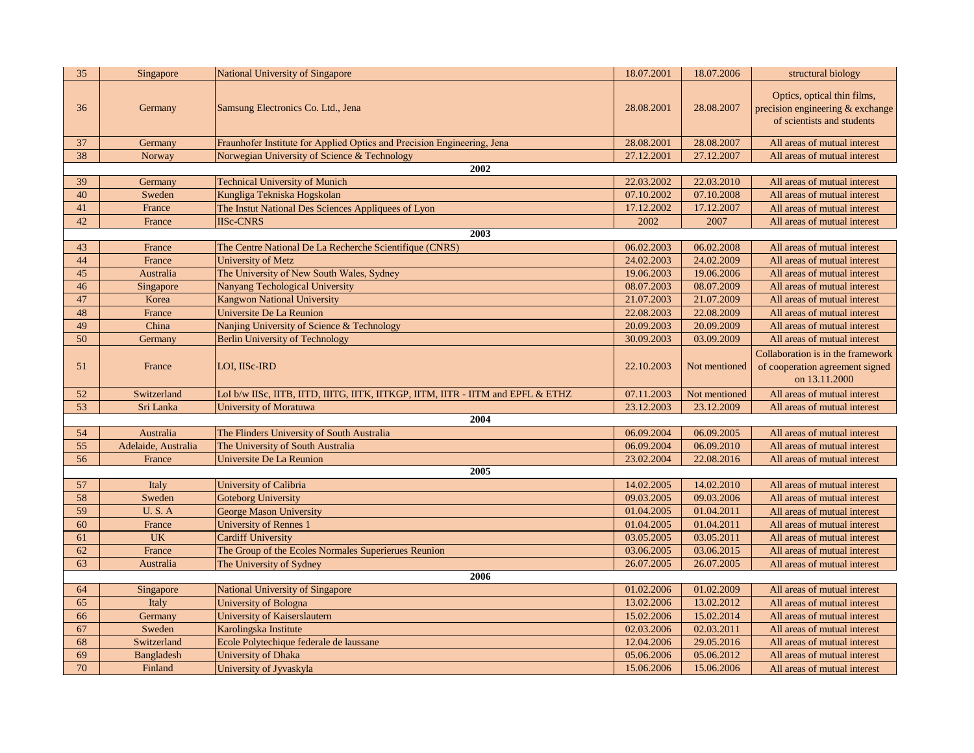| 35 | Singapore           | <b>National University of Singapore</b>                                          | 18.07.2001 | 18.07.2006    | structural biology                                                                            |  |  |
|----|---------------------|----------------------------------------------------------------------------------|------------|---------------|-----------------------------------------------------------------------------------------------|--|--|
| 36 | Germany             | Samsung Electronics Co. Ltd., Jena                                               | 28.08.2001 | 28.08.2007    | Optics, optical thin films,<br>precision engineering & exchange<br>of scientists and students |  |  |
| 37 | Germany             | Fraunhofer Institute for Applied Optics and Precision Engineering, Jena          | 28.08.2001 | 28.08.2007    | All areas of mutual interest                                                                  |  |  |
| 38 | Norway              | Norwegian University of Science & Technology                                     | 27.12.2001 | 27.12.2007    | All areas of mutual interest                                                                  |  |  |
|    |                     | $\sqrt{2002}$                                                                    |            |               |                                                                                               |  |  |
| 39 | Germany             | <b>Technical University of Munich</b>                                            | 22.03.2002 | 22.03.2010    | All areas of mutual interest                                                                  |  |  |
| 40 | Sweden              | Kungliga Tekniska Hogskolan                                                      | 07.10.2002 | 07.10.2008    | All areas of mutual interest                                                                  |  |  |
| 41 | France              | The Instut National Des Sciences Appliquees of Lyon                              | 17.12.2002 | 17.12.2007    | All areas of mutual interest                                                                  |  |  |
| 42 | France              | <b>IISc-CNRS</b>                                                                 | 2002       | 2007          | All areas of mutual interest                                                                  |  |  |
|    |                     | 2003                                                                             |            |               |                                                                                               |  |  |
| 43 | France              | The Centre National De La Recherche Scientifique (CNRS)                          | 06.02.2003 | 06.02.2008    | All areas of mutual interest                                                                  |  |  |
| 44 | France              | University of Metz                                                               | 24.02.2003 | 24.02.2009    | All areas of mutual interest                                                                  |  |  |
| 45 | Australia           | The University of New South Wales, Sydney                                        | 19.06.2003 | 19.06.2006    | All areas of mutual interest                                                                  |  |  |
| 46 | Singapore           | Nanyang Techological University                                                  | 08.07.2003 | 08.07.2009    | All areas of mutual interest                                                                  |  |  |
| 47 | Korea               | <b>Kangwon National University</b>                                               | 21.07.2003 | 21.07.2009    | All areas of mutual interest                                                                  |  |  |
| 48 | France              | Universite De La Reunion                                                         | 22.08.2003 | 22.08.2009    | All areas of mutual interest                                                                  |  |  |
| 49 | China               | Nanjing University of Science & Technology                                       | 20.09.2003 | 20.09.2009    | All areas of mutual interest                                                                  |  |  |
| 50 | Germany             | <b>Berlin University of Technology</b>                                           | 30.09.2003 | 03.09.2009    | All areas of mutual interest                                                                  |  |  |
| 51 | France              | LOI, IISc-IRD                                                                    | 22.10.2003 | Not mentioned | Collaboration is in the framework<br>of cooperation agreement signed<br>on 13.11.2000         |  |  |
| 52 | Switzerland         | LoI b/w IISc, IITB, IITD, IIITG, IITK, IITKGP, IITM, IITR - IITM and EPFL & ETHZ | 07.11.2003 | Not mentioned | All areas of mutual interest                                                                  |  |  |
| 53 | Sri Lanka           | University of Moratuwa                                                           | 23.12.2003 | 23.12.2009    | All areas of mutual interest                                                                  |  |  |
|    |                     | 2004                                                                             |            |               |                                                                                               |  |  |
| 54 | Australia           | The Flinders University of South Australia                                       | 06.09.2004 | 06.09.2005    | All areas of mutual interest                                                                  |  |  |
| 55 | Adelaide, Australia | The University of South Australia                                                | 06.09.2004 | 06.09.2010    | All areas of mutual interest                                                                  |  |  |
| 56 | France              | Universite De La Reunion                                                         | 23.02.2004 | 22.08.2016    | All areas of mutual interest                                                                  |  |  |
|    |                     | 2005                                                                             |            |               |                                                                                               |  |  |
| 57 | Italy               | University of Calibria                                                           | 14.02.2005 | 14.02.2010    | All areas of mutual interest                                                                  |  |  |
| 58 | Sweden              | Goteborg University                                                              | 09.03.2005 | 09.03.2006    | All areas of mutual interest                                                                  |  |  |
| 59 | U.S.A               | George Mason University                                                          | 01.04.2005 | 01.04.2011    | All areas of mutual interest                                                                  |  |  |
| 60 | France              | <b>University of Rennes 1</b>                                                    | 01.04.2005 | 01.04.2011    | All areas of mutual interest                                                                  |  |  |
| 61 | <b>UK</b>           | <b>Cardiff University</b>                                                        | 03.05.2005 | 03.05.2011    | All areas of mutual interest                                                                  |  |  |
| 62 | France              | The Group of the Ecoles Normales Superierues Reunion                             | 03.06.2005 | 03.06.2015    | All areas of mutual interest                                                                  |  |  |
| 63 | Australia           | The University of Sydney                                                         | 26.07.2005 | 26.07.2005    | All areas of mutual interest                                                                  |  |  |
|    | 2006                |                                                                                  |            |               |                                                                                               |  |  |
| 64 | Singapore           | National University of Singapore                                                 | 01.02.2006 | 01.02.2009    | All areas of mutual interest                                                                  |  |  |
| 65 | Italy               | University of Bologna                                                            | 13.02.2006 | 13.02.2012    | All areas of mutual interest                                                                  |  |  |
| 66 | Germany             | University of Kaiserslautern                                                     | 15.02.2006 | 15.02.2014    | All areas of mutual interest                                                                  |  |  |
| 67 | Sweden              | Karolingska Institute                                                            | 02.03.2006 | 02.03.2011    | All areas of mutual interest                                                                  |  |  |
| 68 | Switzerland         | Ecole Polytechique federale de laussane                                          | 12.04.2006 | 29.05.2016    | All areas of mutual interest                                                                  |  |  |
| 69 | <b>Bangladesh</b>   | University of Dhaka                                                              | 05.06.2006 | 05.06.2012    | All areas of mutual interest                                                                  |  |  |
| 70 | Finland             | University of Jyvaskyla                                                          | 15.06.2006 | 15.06.2006    | All areas of mutual interest                                                                  |  |  |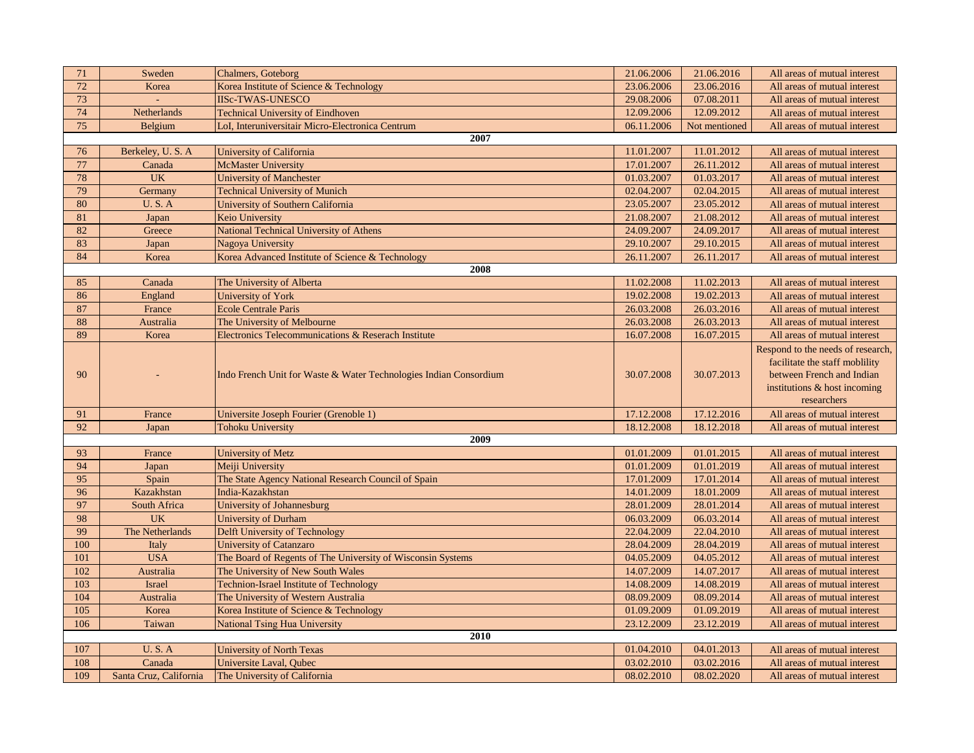| 71   | Sweden                 | Chalmers, Goteborg                                                | 21.06.2006 | 21.06.2016    | All areas of mutual interest                                                                                                                   |  |
|------|------------------------|-------------------------------------------------------------------|------------|---------------|------------------------------------------------------------------------------------------------------------------------------------------------|--|
| 72   | Korea                  | Korea Institute of Science & Technology                           | 23.06.2006 | 23.06.2016    | All areas of mutual interest                                                                                                                   |  |
| 73   |                        | <b>IISc-TWAS-UNESCO</b>                                           | 29.08.2006 | 07.08.2011    | All areas of mutual interest                                                                                                                   |  |
| 74   | <b>Netherlands</b>     | <b>Technical University of Eindhoven</b>                          | 12.09.2006 | 12.09.2012    | All areas of mutual interest                                                                                                                   |  |
| 75   | <b>Belgium</b>         | LoI, Interuniversitair Micro-Electronica Centrum                  | 06.11.2006 | Not mentioned | All areas of mutual interest                                                                                                                   |  |
|      |                        | 2007                                                              |            |               |                                                                                                                                                |  |
| 76   | Berkeley, U.S.A        | University of California                                          | 11.01.2007 | 11.01.2012    | All areas of mutual interest                                                                                                                   |  |
| 77   | Canada                 | <b>McMaster University</b>                                        | 17.01.2007 | 26.11.2012    | All areas of mutual interest                                                                                                                   |  |
| 78   | <b>UK</b>              | <b>University of Manchester</b>                                   | 01.03.2007 | 01.03.2017    | All areas of mutual interest                                                                                                                   |  |
| 79   | Germany                | <b>Technical University of Munich</b>                             | 02.04.2007 | 02.04.2015    | All areas of mutual interest                                                                                                                   |  |
| 80   | <b>U.S.A</b>           | University of Southern California                                 | 23.05.2007 | 23.05.2012    | All areas of mutual interest                                                                                                                   |  |
| 81   | Japan                  | Keio University                                                   | 21.08.2007 | 21.08.2012    | All areas of mutual interest                                                                                                                   |  |
| 82   | Greece                 | National Technical University of Athens                           | 24.09.2007 | 24.09.2017    | All areas of mutual interest                                                                                                                   |  |
| 83   | Japan                  | Nagoya University                                                 | 29.10.2007 | 29.10.2015    | All areas of mutual interest                                                                                                                   |  |
| 84   | Korea                  | Korea Advanced Institute of Science & Technology                  | 26.11.2007 | 26.11.2017    | All areas of mutual interest                                                                                                                   |  |
|      |                        | 2008                                                              |            |               |                                                                                                                                                |  |
| 85   | Canada                 | The University of Alberta                                         | 11.02.2008 | 11.02.2013    | All areas of mutual interest                                                                                                                   |  |
| 86   | England                | University of York                                                | 19.02.2008 | 19.02.2013    | All areas of mutual interest                                                                                                                   |  |
| 87   | France                 | <b>Ecole Centrale Paris</b>                                       | 26.03.2008 | 26.03.2016    | All areas of mutual interest                                                                                                                   |  |
| 88   | Australia              | The University of Melbourne                                       | 26.03.2008 | 26.03.2013    | All areas of mutual interest                                                                                                                   |  |
| 89   | Korea                  | Electronics Telecommunications & Reserach Institute               | 16.07.2008 | 16.07.2015    | All areas of mutual interest                                                                                                                   |  |
| 90   |                        | Indo French Unit for Waste & Water Technologies Indian Consordium | 30.07.2008 | 30.07.2013    | Respond to the needs of research,<br>facilitate the staff mobility<br>between French and Indian<br>institutions & host incoming<br>researchers |  |
| 91   | France                 | Universite Joseph Fourier (Grenoble 1)                            | 17.12.2008 | 17.12.2016    | All areas of mutual interest                                                                                                                   |  |
| 92   | Japan                  | Tohoku University                                                 | 18.12.2008 | 18.12.2018    | All areas of mutual interest                                                                                                                   |  |
|      |                        | 2009                                                              |            |               |                                                                                                                                                |  |
| 93   | France                 | <b>University of Metz</b>                                         | 01.01.2009 | 01.01.2015    | All areas of mutual interest                                                                                                                   |  |
| 94   | Japan                  | Meiji University                                                  | 01.01.2009 | 01.01.2019    | All areas of mutual interest                                                                                                                   |  |
| 95   | Spain                  | The State Agency National Research Council of Spain               | 17.01.2009 | 17.01.2014    | All areas of mutual interest                                                                                                                   |  |
| 96   | Kazakhstan             | India-Kazakhstan                                                  | 14.01.2009 | 18.01.2009    | All areas of mutual interest                                                                                                                   |  |
| 97   | South Africa           | University of Johannesburg                                        | 28.01.2009 | 28.01.2014    | All areas of mutual interest                                                                                                                   |  |
| 98   | <b>UK</b>              | <b>University of Durham</b>                                       | 06.03.2009 | 06.03.2014    | All areas of mutual interest                                                                                                                   |  |
| 99   | The Netherlands        | Delft University of Technology                                    | 22.04.2009 | 22.04.2010    | All areas of mutual interest                                                                                                                   |  |
| 100  | Italy                  | <b>University of Catanzaro</b>                                    | 28.04.2009 | 28.04.2019    | All areas of mutual interest                                                                                                                   |  |
| 101  | <b>USA</b>             | The Board of Regents of The University of Wisconsin Systems       | 04.05.2009 | 04.05.2012    | All areas of mutual interest                                                                                                                   |  |
| 102  | Australia              | The University of New South Wales                                 | 14.07.2009 | 14.07.2017    | All areas of mutual interest                                                                                                                   |  |
| 103  | <b>Israel</b>          | <b>Technion-Israel Institute of Technology</b>                    | 14.08.2009 | 14.08.2019    | All areas of mutual interest                                                                                                                   |  |
| 104  | Australia              | The University of Western Australia                               | 08.09.2009 | 08.09.2014    | All areas of mutual interest                                                                                                                   |  |
| 105  | Korea                  | Korea Institute of Science & Technology                           | 01.09.2009 | 01.09.2019    | All areas of mutual interest                                                                                                                   |  |
| 106  | Taiwan                 | <b>National Tsing Hua University</b>                              | 23.12.2009 | 23.12.2019    | All areas of mutual interest                                                                                                                   |  |
| 2010 |                        |                                                                   |            |               |                                                                                                                                                |  |
| 107  | <b>U.S.A</b>           | <b>University of North Texas</b>                                  | 01.04.2010 | 04.01.2013    | All areas of mutual interest                                                                                                                   |  |
| 108  | Canada                 | Universite Laval, Oubec                                           | 03.02.2010 | 03.02.2016    | All areas of mutual interest                                                                                                                   |  |
| 109  | Santa Cruz, California | The University of California                                      | 08.02.2010 | 08.02.2020    | All areas of mutual interest                                                                                                                   |  |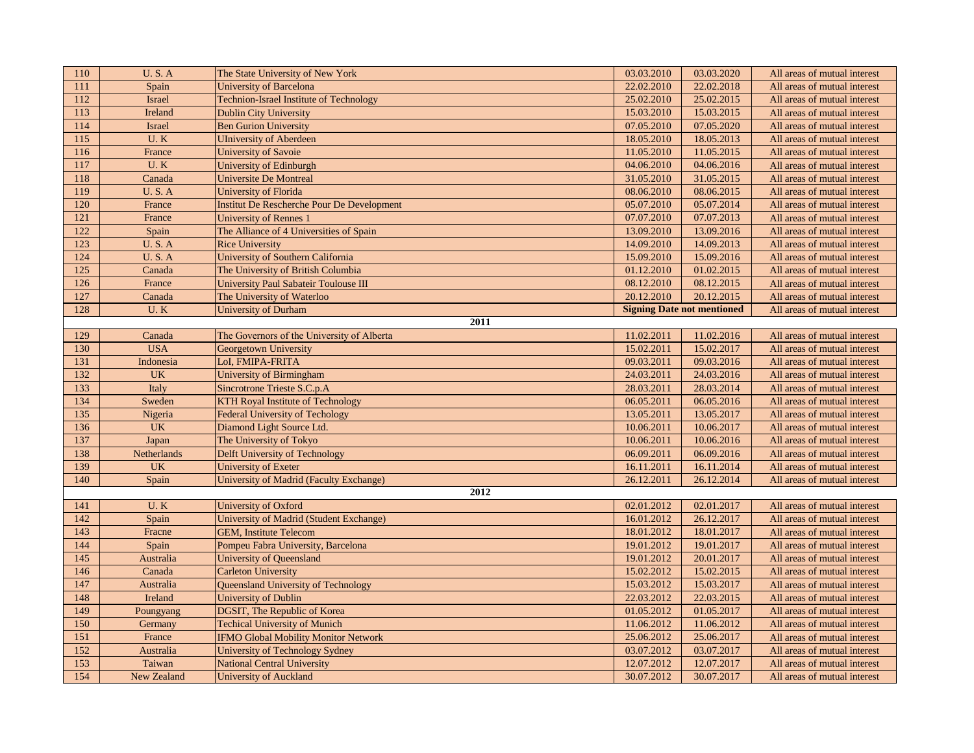| 110  | <b>U.S.A</b>  | The State University of New York               | 03.03.2010 | 03.03.2020                        | All areas of mutual interest |  |  |
|------|---------------|------------------------------------------------|------------|-----------------------------------|------------------------------|--|--|
| 111  | Spain         | <b>University of Barcelona</b>                 | 22.02.2010 | 22.02.2018                        | All areas of mutual interest |  |  |
| 112  | <b>Israel</b> | <b>Technion-Israel Institute of Technology</b> | 25.02.2010 | 25.02.2015                        | All areas of mutual interest |  |  |
| 113  | Ireland       | <b>Dublin City University</b>                  | 15.03.2010 | 15.03.2015                        | All areas of mutual interest |  |  |
| 114  | <b>Israel</b> | <b>Ben Gurion University</b>                   | 07.05.2010 | 07.05.2020                        | All areas of mutual interest |  |  |
| 115  | U.K           | <b>UIniversity of Aberdeen</b>                 | 18.05.2010 | 18.05.2013                        | All areas of mutual interest |  |  |
| 116  | France        | University of Savoie                           | 11.05.2010 | 11.05.2015                        | All areas of mutual interest |  |  |
| 117  | U.K           | University of Edinburgh                        | 04.06.2010 | 04.06.2016                        | All areas of mutual interest |  |  |
| 118  | Canada        | <b>Universite De Montreal</b>                  | 31.05.2010 | 31.05.2015                        | All areas of mutual interest |  |  |
| 119  | <b>U.S.A</b>  | University of Florida                          | 08.06.2010 | 08.06.2015                        | All areas of mutual interest |  |  |
| 120  | France        | Institut De Rescherche Pour De Development     | 05.07.2010 | 05.07.2014                        | All areas of mutual interest |  |  |
| 121  | France        | University of Rennes 1                         | 07.07.2010 | 07.07.2013                        | All areas of mutual interest |  |  |
| 122  | Spain         | The Alliance of 4 Universities of Spain        | 13.09.2010 | 13.09.2016                        | All areas of mutual interest |  |  |
| 123  | <b>U.S.A</b>  | <b>Rice University</b>                         | 14.09.2010 | 14.09.2013                        | All areas of mutual interest |  |  |
| 124  | <b>U.S.A</b>  | University of Southern California              | 15.09.2010 | 15.09.2016                        | All areas of mutual interest |  |  |
| 125  | Canada        | The University of British Columbia             | 01.12.2010 | 01.02.2015                        | All areas of mutual interest |  |  |
| 126  | France        | <b>University Paul Sabateir Toulouse III</b>   | 08.12.2010 | 08.12.2015                        | All areas of mutual interest |  |  |
| 127  | Canada        | The University of Waterloo                     | 20.12.2010 | 20.12.2015                        | All areas of mutual interest |  |  |
| 128  | U.K           | University of Durham                           |            | <b>Signing Date not mentioned</b> | All areas of mutual interest |  |  |
| 2011 |               |                                                |            |                                   |                              |  |  |
| 129  | Canada        | The Governors of the University of Alberta     | 11.02.2011 | 11.02.2016                        | All areas of mutual interest |  |  |
| 130  | <b>USA</b>    | Georgetown University                          | 15.02.2011 | 15.02.2017                        | All areas of mutual interest |  |  |
| 131  | Indonesia     | LoI, FMIPA-FRITA                               | 09.03.2011 | 09.03.2016                        | All areas of mutual interest |  |  |
| 132  | <b>UK</b>     | University of Birmingham                       | 24.03.2011 | 24.03.2016                        | All areas of mutual interest |  |  |
| 133  | Italy         | Sincrotrone Trieste S.C.p.A                    | 28.03.2011 | 28.03.2014                        | All areas of mutual interest |  |  |
| 134  | Sweden        | <b>KTH Royal Institute of Technology</b>       | 06.05.2011 | 06.05.2016                        | All areas of mutual interest |  |  |
| 135  | Nigeria       | <b>Federal University of Techology</b>         | 13.05.2011 | 13.05.2017                        | All areas of mutual interest |  |  |
| 136  | <b>UK</b>     | Diamond Light Source Ltd.                      | 10.06.2011 | 10.06.2017                        | All areas of mutual interest |  |  |
| 137  | Japan         | The University of Tokyo                        | 10.06.2011 | 10.06.2016                        | All areas of mutual interest |  |  |
| 138  | Netherlands   | Delft University of Technology                 | 06.09.2011 | 06.09.2016                        | All areas of mutual interest |  |  |
| 139  | <b>UK</b>     | University of Exeter                           | 16.11.2011 | 16.11.2014                        | All areas of mutual interest |  |  |
| 140  | Spain         | <b>University of Madrid (Faculty Exchange)</b> | 26.12.2011 | 26.12.2014                        | All areas of mutual interest |  |  |
| 2012 |               |                                                |            |                                   |                              |  |  |
| 141  | U.K           | University of Oxford                           | 02.01.2012 | 02.01.2017                        | All areas of mutual interest |  |  |
| 142  | Spain         | University of Madrid (Student Exchange)        | 16.01.2012 | 26.12.2017                        | All areas of mutual interest |  |  |
| 143  | Fracne        | <b>GEM, Institute Telecom</b>                  | 18.01.2012 | 18.01.2017                        | All areas of mutual interest |  |  |
| 144  | Spain         | Pompeu Fabra University, Barcelona             | 19.01.2012 | 19.01.2017                        | All areas of mutual interest |  |  |
| 145  | Australia     | <b>University of Queensland</b>                | 19.01.2012 | 20.01.2017                        | All areas of mutual interest |  |  |
| 146  | Canada        | <b>Carleton University</b>                     | 15.02.2012 | 15.02.2015                        | All areas of mutual interest |  |  |
| 147  | Australia     | Queensland University of Technology            | 15.03.2012 | 15.03.2017                        | All areas of mutual interest |  |  |
| 148  | Ireland       | University of Dublin                           | 22.03.2012 | 22.03.2015                        | All areas of mutual interest |  |  |
| 149  | Poungyang     | DGSIT, The Republic of Korea                   | 01.05.2012 | 01.05.2017                        | All areas of mutual interest |  |  |
| 150  | Germany       | <b>Techical University of Munich</b>           | 11.06.2012 | 11.06.2012                        | All areas of mutual interest |  |  |
| 151  | France        | <b>IFMO Global Mobility Monitor Network</b>    | 25.06.2012 | 25.06.2017                        | All areas of mutual interest |  |  |
| 152  | Australia     | University of Technology Sydney                | 03.07.2012 | 03.07.2017                        | All areas of mutual interest |  |  |
| 153  | Taiwan        | <b>National Central University</b>             | 12.07.2012 | 12.07.2017                        | All areas of mutual interest |  |  |
| 154  | New Zealand   | University of Auckland                         | 30.07.2012 | 30.07.2017                        | All areas of mutual interest |  |  |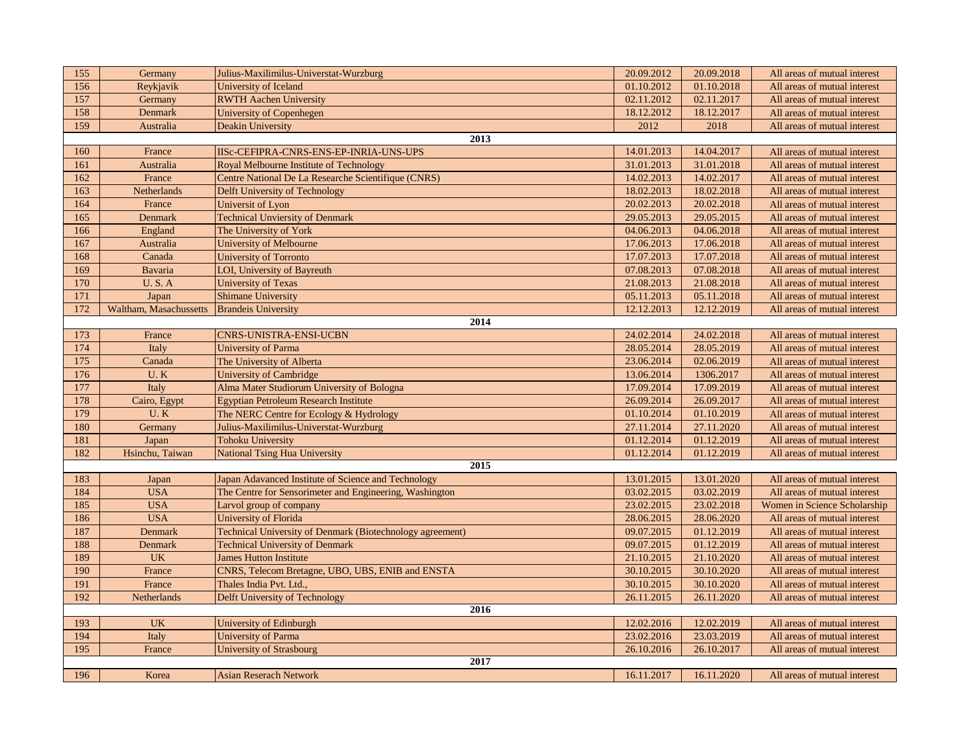| 155  | Germany                | Julius-Maxilimilus-Universtat-Wurzburg                    | 20.09.2012 | 20.09.2018 | All areas of mutual interest |
|------|------------------------|-----------------------------------------------------------|------------|------------|------------------------------|
| 156  | Reykjavik              | University of Iceland                                     | 01.10.2012 | 01.10.2018 | All areas of mutual interest |
| 157  | Germany                | <b>RWTH Aachen University</b>                             | 02.11.2012 | 02.11.2017 | All areas of mutual interest |
| 158  | <b>Denmark</b>         | University of Copenhegen                                  | 18.12.2012 | 18.12.2017 | All areas of mutual interest |
| 159  | Australia              | <b>Deakin University</b>                                  | 2012       | 2018       | All areas of mutual interest |
|      |                        | 2013                                                      |            |            |                              |
| 160  | France                 | IISc-CEFIPRA-CNRS-ENS-EP-INRIA-UNS-UPS                    | 14.01.2013 | 14.04.2017 | All areas of mutual interest |
| 161  | Australia              | Royal Melbourne Institute of Technology                   | 31.01.2013 | 31.01.2018 | All areas of mutual interest |
| 162  | France                 | Centre National De La Researche Scientifique (CNRS)       | 14.02.2013 | 14.02.2017 | All areas of mutual interest |
| 163  | Netherlands            | Delft University of Technology                            | 18.02.2013 | 18.02.2018 | All areas of mutual interest |
| 164  | France                 | Universit of Lyon                                         | 20.02.2013 | 20.02.2018 | All areas of mutual interest |
| 165  | Denmark                | <b>Technical Unviersity of Denmark</b>                    | 29.05.2013 | 29.05.2015 | All areas of mutual interest |
| 166  | England                | The University of York                                    | 04.06.2013 | 04.06.2018 | All areas of mutual interest |
| 167  | Australia              | <b>University of Melbourne</b>                            | 17.06.2013 | 17.06.2018 | All areas of mutual interest |
| 168  | Canada                 | <b>University of Torronto</b>                             | 17.07.2013 | 17.07.2018 | All areas of mutual interest |
| 169  | Bavaria                | <b>LOI, University of Bayreuth</b>                        | 07.08.2013 | 07.08.2018 | All areas of mutual interest |
| 170  | <b>U.S.A</b>           | <b>University of Texas</b>                                | 21.08.2013 | 21.08.2018 | All areas of mutual interest |
| 171  | Japan                  | <b>Shimane University</b>                                 | 05.11.2013 | 05.11.2018 | All areas of mutual interest |
| 172  | Waltham, Masachussetts | <b>Brandeis University</b>                                | 12.12.2013 | 12.12.2019 | All areas of mutual interest |
|      |                        | 2014                                                      |            |            |                              |
| 173  | France                 | CNRS-UNISTRA-ENSI-UCBN                                    | 24.02.2014 | 24.02.2018 | All areas of mutual interest |
| 174  | Italy                  | <b>University of Parma</b>                                | 28.05.2014 | 28.05.2019 | All areas of mutual interest |
| 175  | Canada                 | The University of Alberta                                 | 23.06.2014 | 02.06.2019 | All areas of mutual interest |
| 176  | U.K                    | University of Cambridge                                   | 13.06.2014 | 1306.2017  | All areas of mutual interest |
| 177  | Italy                  | Alma Mater Studiorum University of Bologna                | 17.09.2014 | 17.09.2019 | All areas of mutual interest |
| 178  | Cairo, Egypt           | <b>Egyptian Petroleum Research Institute</b>              | 26.09.2014 | 26.09.2017 | All areas of mutual interest |
| 179  | U.K                    | The NERC Centre for Ecology & Hydrology                   | 01.10.2014 | 01.10.2019 | All areas of mutual interest |
| 180  | Germany                | Julius-Maxilimilus-Universtat-Wurzburg                    | 27.11.2014 | 27.11.2020 | All areas of mutual interest |
| 181  | Japan                  | <b>Tohoku University</b>                                  | 01.12.2014 | 01.12.2019 | All areas of mutual interest |
| 182  | Hsinchu, Taiwan        | <b>National Tsing Hua University</b>                      | 01.12.2014 | 01.12.2019 | All areas of mutual interest |
|      |                        | 2015                                                      |            |            |                              |
| 183  | Japan                  | Japan Adavanced Institute of Science and Technology       | 13.01.2015 | 13.01.2020 | All areas of mutual interest |
| 184  | <b>USA</b>             | The Centre for Sensorimeter and Engineering, Washington   | 03.02.2015 | 03.02.2019 | All areas of mutual interest |
| 185  | <b>USA</b>             | Larvol group of company                                   | 23.02.2015 | 23.02.2018 | Women in Science Scholarship |
| 186  | <b>USA</b>             | University of Florida                                     | 28.06.2015 | 28.06.2020 | All areas of mutual interest |
| 187  | <b>Denmark</b>         | Technical University of Denmark (Biotechnology agreement) | 09.07.2015 | 01.12.2019 | All areas of mutual interest |
| 188  | <b>Denmark</b>         | <b>Technical University of Denmark</b>                    | 09.07.2015 | 01.12.2019 | All areas of mutual interest |
| 189  | <b>UK</b>              | <b>James Hutton Institute</b>                             | 21.10.2015 | 21.10.2020 | All areas of mutual interest |
| 190  | France                 | CNRS, Telecom Bretagne, UBO, UBS, ENIB and ENSTA          | 30.10.2015 | 30.10.2020 | All areas of mutual interest |
| 191  | France                 | Thales India Pvt. Ltd.,                                   | 30.10.2015 | 30.10.2020 | All areas of mutual interest |
| 192  | Netherlands            | <b>Delft University of Technology</b>                     | 26.11.2015 | 26.11.2020 | All areas of mutual interest |
| 2016 |                        |                                                           |            |            |                              |
| 193  | <b>UK</b>              | University of Edinburgh                                   | 12.02.2016 | 12.02.2019 | All areas of mutual interest |
| 194  | Italy                  | <b>University of Parma</b>                                | 23.02.2016 | 23.03.2019 | All areas of mutual interest |
| 195  | France                 | <b>University of Strasbourg</b>                           | 26.10.2016 | 26.10.2017 | All areas of mutual interest |
|      |                        | 2017                                                      |            |            |                              |
| 196  | Korea                  | <b>Asian Reserach Network</b>                             | 16.11.2017 | 16.11.2020 | All areas of mutual interest |